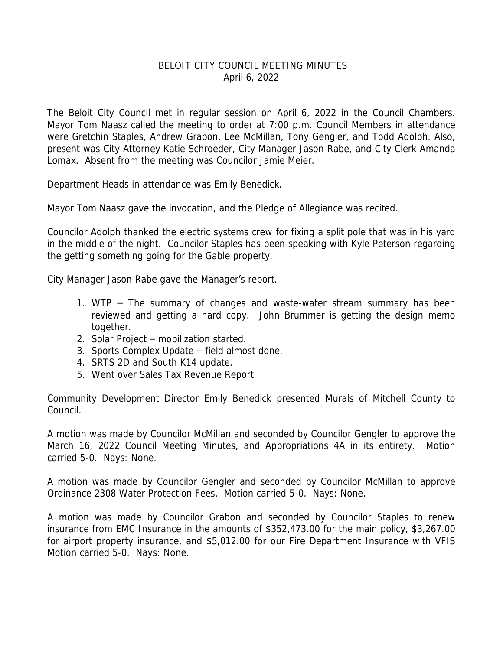## BELOIT CITY COUNCIL MEETING MINUTES April 6, 2022

The Beloit City Council met in regular session on April 6, 2022 in the Council Chambers. Mayor Tom Naasz called the meeting to order at 7:00 p.m. Council Members in attendance were Gretchin Staples, Andrew Grabon, Lee McMillan, Tony Gengler, and Todd Adolph. Also, present was City Attorney Katie Schroeder, City Manager Jason Rabe, and City Clerk Amanda Lomax. Absent from the meeting was Councilor Jamie Meier.

Department Heads in attendance was Emily Benedick.

Mayor Tom Naasz gave the invocation, and the Pledge of Allegiance was recited.

Councilor Adolph thanked the electric systems crew for fixing a split pole that was in his yard in the middle of the night. Councilor Staples has been speaking with Kyle Peterson regarding the getting something going for the Gable property.

City Manager Jason Rabe gave the Manager's report.

- 1. WTP The summary of changes and waste-water stream summary has been reviewed and getting a hard copy. John Brummer is getting the design memo together.
- 2. Solar Project mobilization started.
- 3. Sports Complex Update field almost done.
- 4. SRTS 2D and South K14 update.
- 5. Went over Sales Tax Revenue Report.

Community Development Director Emily Benedick presented Murals of Mitchell County to Council.

A motion was made by Councilor McMillan and seconded by Councilor Gengler to approve the March 16, 2022 Council Meeting Minutes, and Appropriations 4A in its entirety. Motion carried 5-0. Nays: None.

A motion was made by Councilor Gengler and seconded by Councilor McMillan to approve Ordinance 2308 Water Protection Fees. Motion carried 5-0. Nays: None.

A motion was made by Councilor Grabon and seconded by Councilor Staples to renew insurance from EMC Insurance in the amounts of \$352,473.00 for the main policy, \$3,267.00 for airport property insurance, and \$5,012.00 for our Fire Department Insurance with VFIS Motion carried 5-0. Nays: None.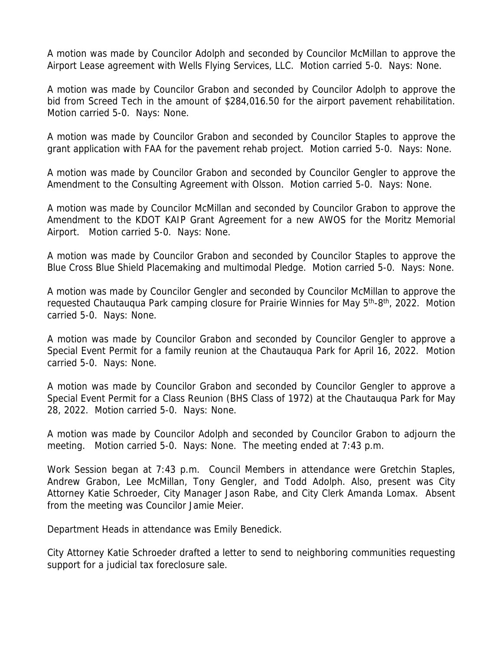A motion was made by Councilor Adolph and seconded by Councilor McMillan to approve the Airport Lease agreement with Wells Flying Services, LLC. Motion carried 5-0. Nays: None.

A motion was made by Councilor Grabon and seconded by Councilor Adolph to approve the bid from Screed Tech in the amount of \$284,016.50 for the airport pavement rehabilitation. Motion carried 5-0. Nays: None.

A motion was made by Councilor Grabon and seconded by Councilor Staples to approve the grant application with FAA for the pavement rehab project. Motion carried 5-0. Nays: None.

A motion was made by Councilor Grabon and seconded by Councilor Gengler to approve the Amendment to the Consulting Agreement with Olsson. Motion carried 5-0. Nays: None.

A motion was made by Councilor McMillan and seconded by Councilor Grabon to approve the Amendment to the KDOT KAIP Grant Agreement for a new AWOS for the Moritz Memorial Airport. Motion carried 5-0. Nays: None.

A motion was made by Councilor Grabon and seconded by Councilor Staples to approve the Blue Cross Blue Shield Placemaking and multimodal Pledge. Motion carried 5-0. Nays: None.

A motion was made by Councilor Gengler and seconded by Councilor McMillan to approve the requested Chautauqua Park camping closure for Prairie Winnies for May 5<sup>th</sup>-8<sup>th</sup>, 2022. Motion carried 5-0. Nays: None.

A motion was made by Councilor Grabon and seconded by Councilor Gengler to approve a Special Event Permit for a family reunion at the Chautauqua Park for April 16, 2022. Motion carried 5-0. Nays: None.

A motion was made by Councilor Grabon and seconded by Councilor Gengler to approve a Special Event Permit for a Class Reunion (BHS Class of 1972) at the Chautauqua Park for May 28, 2022. Motion carried 5-0. Nays: None.

A motion was made by Councilor Adolph and seconded by Councilor Grabon to adjourn the meeting. Motion carried 5-0. Nays: None. The meeting ended at 7:43 p.m.

Work Session began at 7:43 p.m. Council Members in attendance were Gretchin Staples, Andrew Grabon, Lee McMillan, Tony Gengler, and Todd Adolph. Also, present was City Attorney Katie Schroeder, City Manager Jason Rabe, and City Clerk Amanda Lomax. Absent from the meeting was Councilor Jamie Meier.

Department Heads in attendance was Emily Benedick.

City Attorney Katie Schroeder drafted a letter to send to neighboring communities requesting support for a judicial tax foreclosure sale.